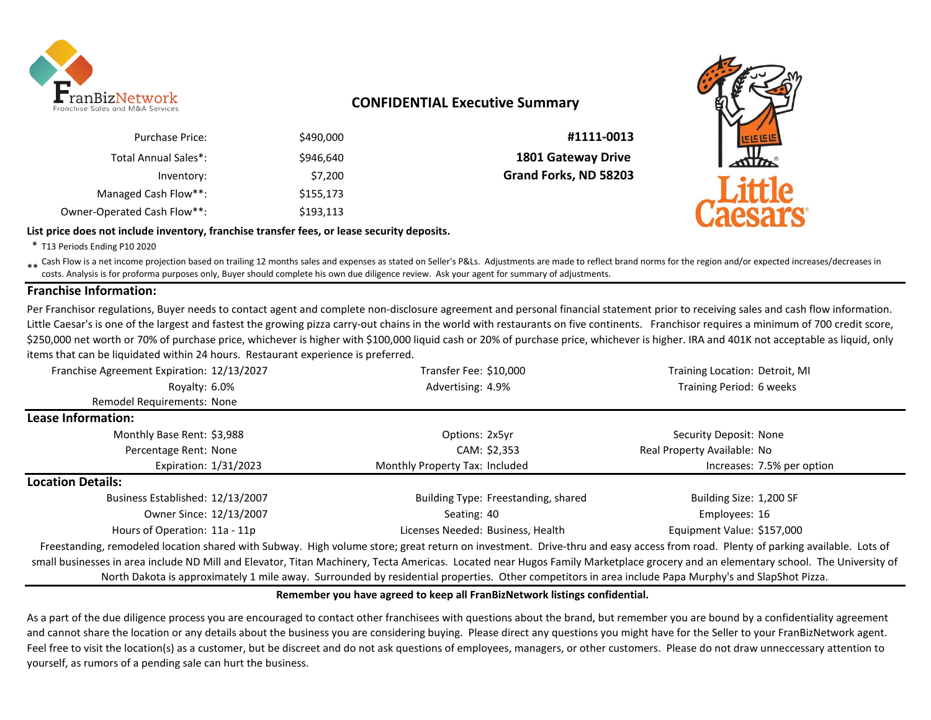

# **CONFIDENTIAL Executive Summary**

| #1111-0013                | \$490,000 | <b>Purchase Price:</b>      |
|---------------------------|-----------|-----------------------------|
| <b>1801 Gateway Drive</b> | \$946,640 | Total Annual Sales*:        |
| Grand Forks, ND 58203     | \$7,200   | Inventory:                  |
|                           | \$155,173 | Managed Cash Flow**:        |
|                           | \$193,113 | Owner-Operated Cash Flow**: |

#### **List price does not include inventory, franchise transfer fees, or lease security deposits.**



\* T13 Periods Ending P10 2020

\*\* Cash Flow is a net income projection based on trailing 12 months sales and expenses as stated on Seller's P&Ls. Adjustments are made to reflect brand norms for the region and/or expected increases/decreases in<br>Costs, An costs. Analysis is for proforma purposes only, Buyer should complete his own due diligence review. Ask your agent for summary of adjustments.

## **Franchise Information:**

Per Franchisor regulations, Buyer needs to contact agent and complete non-disclosure agreement and personal financial statement prior to receiving sales and cash flow information. Little Caesar's is one of the largest and fastest the growing pizza carry-out chains in the world with restaurants on five continents. Franchisor requires a minimum of 700 credit score, \$250,000 net worth or 70% of purchase price, whichever is higher with \$100,000 liquid cash or 20% of purchase price, whichever is higher. IRA and 401K not acceptable as liquid, only items that can be liquidated within 24 hours. Restaurant experience is preferred.

| Franchise Agreement Expiration: 12/13/2027 | Transfer Fee: \$10,000                                                                                                                                                    | Training Location: Detroit, MI |
|--------------------------------------------|---------------------------------------------------------------------------------------------------------------------------------------------------------------------------|--------------------------------|
| Royalty: 6.0%                              | Advertising: 4.9%                                                                                                                                                         | Training Period: 6 weeks       |
| Remodel Requirements: None                 |                                                                                                                                                                           |                                |
| Lease Information:                         |                                                                                                                                                                           |                                |
| Monthly Base Rent: \$3,988                 | Options: 2x5yr                                                                                                                                                            | Security Deposit: None         |
| Percentage Rent: None                      | CAM: \$2,353                                                                                                                                                              | Real Property Available: No    |
| Expiration: 1/31/2023                      | Monthly Property Tax: Included                                                                                                                                            | Increases: 7.5% per option     |
| <b>Location Details:</b>                   |                                                                                                                                                                           |                                |
| Business Established: 12/13/2007           | Building Type: Freestanding, shared                                                                                                                                       | Building Size: 1,200 SF        |
| Owner Since: 12/13/2007                    | Seating: 40                                                                                                                                                               | Employees: 16                  |
| Hours of Operation: 11a - 11p              | Licenses Needed: Business, Health                                                                                                                                         | Equipment Value: \$157,000     |
|                                            | Freestanding remodeled location shared with Subway High volume store; great return on investment Drive thru and easy access from road Plenty of parking available Lots of |                                |

modeled location shared with Subway. High volume store; great return on investment. Drive-thru and easy access from road. Plenty of parking available. Lots of small businesses in area include ND Mill and Elevator, Titan Machinery, Tecta Americas. Located near Hugos Family Marketplace grocery and an elementary school. The University of North Dakota is approximately 1 mile away. Surrounded by residential properties. Other competitors in area include Papa Murphy's and SlapShot Pizza.

#### **Remember you have agreed to keep all FranBizNetwork listings confidential.**

As a part of the due diligence process you are encouraged to contact other franchisees with questions about the brand, but remember you are bound by a confidentiality agreement and cannot share the location or any details about the business you are considering buying. Please direct any questions you might have for the Seller to your FranBizNetwork agent. Feel free to visit the location(s) as a customer, but be discreet and do not ask questions of employees, managers, or other customers. Please do not draw unneccessary attention to yourself, as rumors of a pending sale can hurt the business.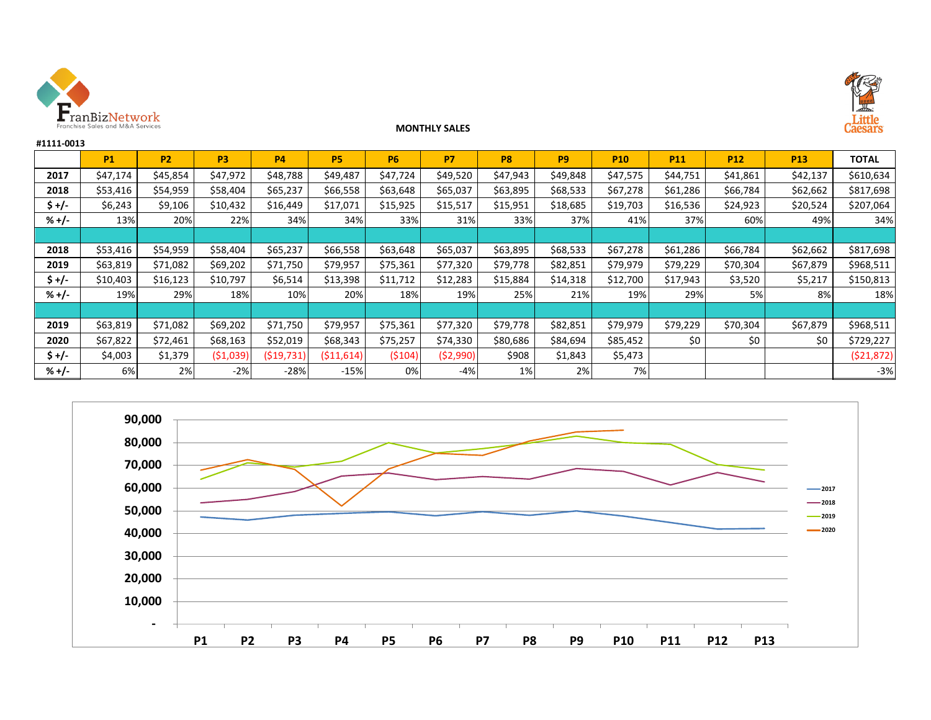

**#1111-0013**



## **MONTHLY SALES**

|         | <b>P1</b> | <b>P2</b> | P <sub>3</sub> | <b>P4</b>  | <b>P5</b>   | <b>P6</b> | P7         | <b>P8</b> | P <sub>9</sub> | <b>P10</b> | P <sub>11</sub> | <b>P12</b> | <b>P13</b> | <b>TOTAL</b> |
|---------|-----------|-----------|----------------|------------|-------------|-----------|------------|-----------|----------------|------------|-----------------|------------|------------|--------------|
| 2017    | \$47,174  | \$45,854  | \$47,972       | \$48,788   | \$49,487    | \$47,724  | \$49,520   | \$47,943  | \$49,848       | \$47,575   | \$44,751        | \$41,861   | \$42,137   | \$610,634    |
| 2018    | \$53,416  | \$54,959  | \$58,404       | \$65,237   | \$66,558    | \$63,648  | \$65,037   | \$63,895  | \$68,533       | \$67,278   | \$61,286        | \$66,784   | \$62,662   | \$817,698    |
| $$+/-$  | \$6,243   | \$9,106   | \$10,432       | \$16,449   | \$17,071    | \$15,925  | \$15,517   | \$15,951  | \$18,685       | \$19,703   | \$16,536        | \$24,923   | \$20,524   | \$207,064    |
| $% +/-$ | 13%       | 20%       | 22%            | 34%        | 34%         | 33%       | 31%        | 33%       | 37%            | 41%        | 37%             | 60%        | 49%        | 34%          |
|         |           |           |                |            |             |           |            |           |                |            |                 |            |            |              |
| 2018    | \$53,416  | \$54,959  | \$58,404       | \$65,237   | \$66,558    | \$63,648  | \$65,037   | \$63,895  | \$68,533       | \$67,278   | \$61,286        | \$66,784   | \$62,662   | \$817,698    |
| 2019    | \$63,819  | \$71,082  | \$69,202       | \$71,750   | \$79,957    | \$75,361  | \$77,320   | \$79,778  | \$82,851       | \$79,979   | \$79,229        | \$70,304   | \$67,879   | \$968,511    |
| $5 +/-$ | \$10,403  | \$16,123  | \$10,797       | \$6,514    | \$13,398    | \$11,712  | \$12,283   | \$15,884  | \$14,318       | \$12,700   | \$17,943        | \$3,520    | \$5,217    | \$150,813    |
| $% +/-$ | 19%       | 29%       | 18%            | 10%        | 20%         | 18%       | 19%        | 25%       | 21%            | 19%        | 29%             | 5%         | 8%         | 18%          |
|         |           |           |                |            |             |           |            |           |                |            |                 |            |            |              |
| 2019    | \$63,819  | \$71,082  | \$69,202       | \$71,750   | \$79,957    | \$75,361  | \$77,320   | \$79,778  | \$82,851       | \$79,979   | \$79,229        | \$70,304   | \$67,879   | \$968,511    |
| 2020    | \$67,822  | \$72,461  | \$68,163       | \$52,019   | \$68,343    | \$75,257  | \$74,330   | \$80,686  | \$84,694       | \$85,452   | \$0             | \$0        | \$0        | \$729,227    |
| $$+/-$  | \$4,003   | \$1,379   | (\$1,039)      | (519, 731) | ( \$11,614) | (5104)    | ( \$2,990) | \$908     | \$1,843        | \$5,473    |                 |            |            | (521, 872)   |
| $% +/-$ | 6%        | 2%        | $-2%$          | $-28%$     | $-15%$      | 0%        | $-4%$      | 1%        | 2%             | 7%         |                 |            |            | $-3%$        |